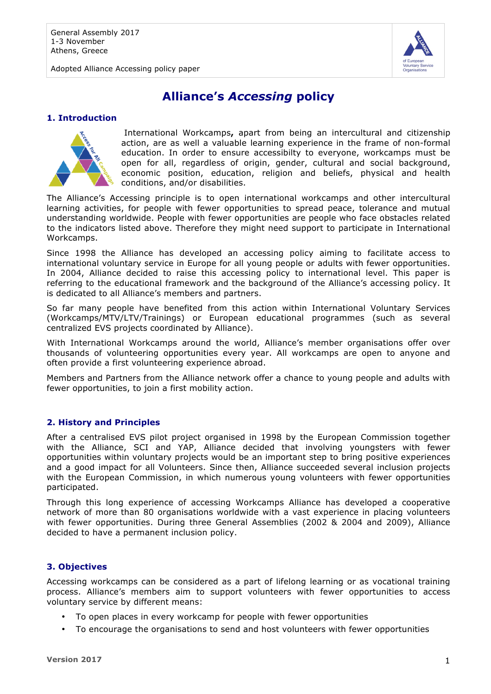Adopted Alliance Accessing policy paper



# **Alliance's** *Accessing* **policy**

#### **1. Introduction**



International Workcamps**,** apart from being an intercultural and citizenship action, are as well a valuable learning experience in the frame of non-formal education. In order to ensure accessibilty to everyone, workcamps must be open for all, regardless of origin, gender, cultural and social background, economic position, education, religion and beliefs, physical and health conditions, and/or disabilities.

The Alliance's Accessing principle is to open international workcamps and other intercultural learning activities, for people with fewer opportunities to spread peace, tolerance and mutual understanding worldwide. People with fewer opportunities are people who face obstacles related to the indicators listed above. Therefore they might need support to participate in International Workcamps.

Since 1998 the Alliance has developed an accessing policy aiming to facilitate access to international voluntary service in Europe for all young people or adults with fewer opportunities. In 2004, Alliance decided to raise this accessing policy to international level. This paper is referring to the educational framework and the background of the Alliance's accessing policy. It is dedicated to all Alliance's members and partners.

So far many people have benefited from this action within International Voluntary Services (Workcamps/MTV/LTV/Trainings) or European educational programmes (such as several centralized EVS projects coordinated by Alliance).

With International Workcamps around the world, Alliance's member organisations offer over thousands of volunteering opportunities every year. All workcamps are open to anyone and often provide a first volunteering experience abroad.

Members and Partners from the Alliance network offer a chance to young people and adults with fewer opportunities, to join a first mobility action.

## **2. History and Principles**

After a centralised EVS pilot project organised in 1998 by the European Commission together with the Alliance, SCI and YAP, Alliance decided that involving youngsters with fewer opportunities within voluntary projects would be an important step to bring positive experiences and a good impact for all Volunteers. Since then, Alliance succeeded several inclusion projects with the European Commission, in which numerous young volunteers with fewer opportunities participated.

Through this long experience of accessing Workcamps Alliance has developed a cooperative network of more than 80 organisations worldwide with a vast experience in placing volunteers with fewer opportunities. During three General Assemblies (2002 & 2004 and 2009), Alliance decided to have a permanent inclusion policy.

## **3. Objectives**

Accessing workcamps can be considered as a part of lifelong learning or as vocational training process. Alliance's members aim to support volunteers with fewer opportunities to access voluntary service by different means:

- To open places in every workcamp for people with fewer opportunities
- To encourage the organisations to send and host volunteers with fewer opportunities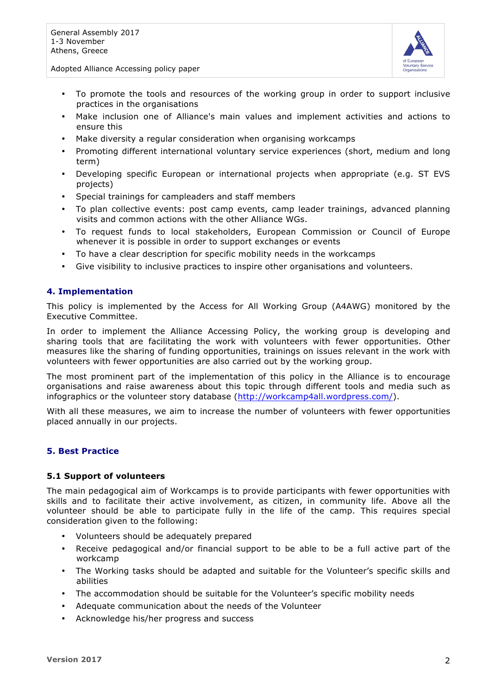

Adopted Alliance Accessing policy paper

- To promote the tools and resources of the working group in order to support inclusive practices in the organisations
- Make inclusion one of Alliance's main values and implement activities and actions to ensure this
- Make diversity a regular consideration when organising workcamps
- Promoting different international voluntary service experiences (short, medium and long term)
- Developing specific European or international projects when appropriate (e.g. ST EVS projects)
- Special trainings for campleaders and staff members
- To plan collective events: post camp events, camp leader trainings, advanced planning visits and common actions with the other Alliance WGs.
- To request funds to local stakeholders, European Commission or Council of Europe whenever it is possible in order to support exchanges or events
- To have a clear description for specific mobility needs in the workcamps
- Give visibility to inclusive practices to inspire other organisations and volunteers.

#### **4. Implementation**

This policy is implemented by the Access for All Working Group (A4AWG) monitored by the Executive Committee.

In order to implement the Alliance Accessing Policy, the working group is developing and sharing tools that are facilitating the work with volunteers with fewer opportunities. Other measures like the sharing of funding opportunities, trainings on issues relevant in the work with volunteers with fewer opportunities are also carried out by the working group.

The most prominent part of the implementation of this policy in the Alliance is to encourage organisations and raise awareness about this topic through different tools and media such as infographics or the volunteer story database (http://workcamp4all.wordpress.com/).

With all these measures, we aim to increase the number of volunteers with fewer opportunities placed annually in our projects.

#### **5. Best Practice**

#### **5.1 Support of volunteers**

The main pedagogical aim of Workcamps is to provide participants with fewer opportunities with skills and to facilitate their active involvement, as citizen, in community life. Above all the volunteer should be able to participate fully in the life of the camp. This requires special consideration given to the following:

- Volunteers should be adequately prepared
- Receive pedagogical and/or financial support to be able to be a full active part of the workcamp
- The Working tasks should be adapted and suitable for the Volunteer's specific skills and abilities
- The accommodation should be suitable for the Volunteer's specific mobility needs
- Adequate communication about the needs of the Volunteer
- Acknowledge his/her progress and success